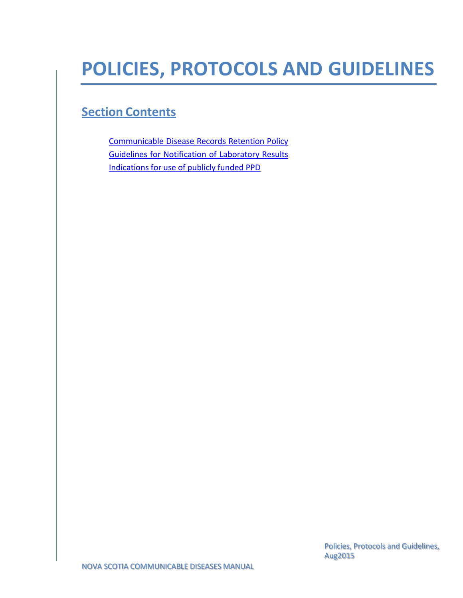# **POLICIES, PROTOCOLS AND GUIDELINES**

## **Section Contents**

[Communicable](#page-1-0) Disease Records Retention Policy Guidelines for [Notification of](#page-8-0) Laboratory Results [Indications](#page-9-0) for use of publicly funded PPD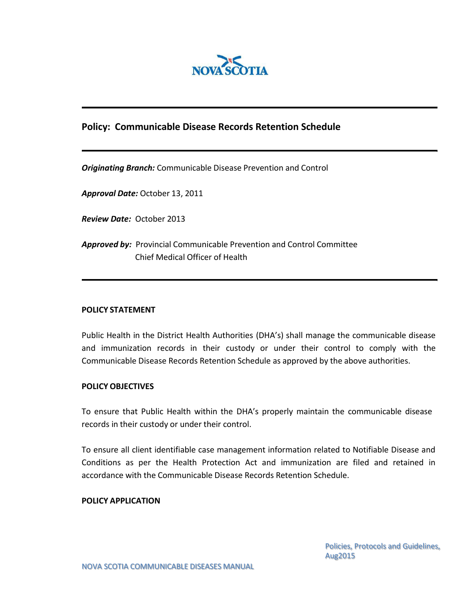

### <span id="page-1-0"></span>**Policy: Communicable Disease Records Retention Schedule**

*Originating Branch:* Communicable Disease Prevention and Control

*Approval Date:* October 13, 2011

*Review Date:* October 2013

*Approved by:* Provincial Communicable Prevention and Control Committee Chief Medical Officer of Health

#### **POLICY STATEMENT**

Public Health in the District Health Authorities (DHA's) shall manage the communicable disease and immunization records in their custody or under their control to comply with the Communicable Disease Records Retention Schedule as approved by the above authorities.

#### **POLICY OBJECTIVES**

To ensure that Public Health within the DHA's properly maintain the communicable disease records in their custody or under their control.

To ensure all client identifiable case management information related to Notifiable Disease and Conditions as per the Health Protection Act and immunization are filed and retained in accordance with the Communicable Disease Records Retention Schedule.

#### **POLICY APPLICATION**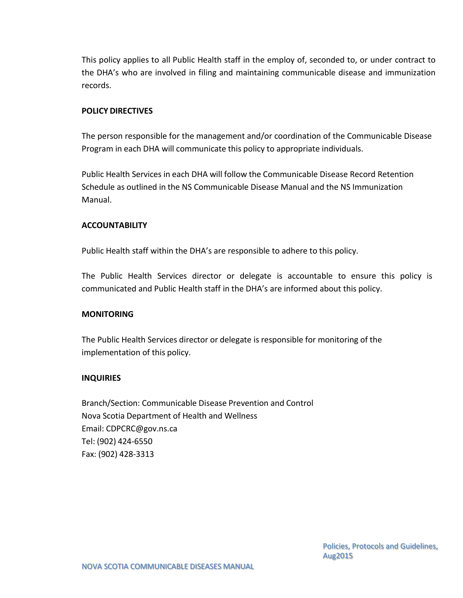This policy applies to all Public Health staff in the employ of, seconded to, or under contract to the DHA's who are involved in filing and maintaining communicable disease and immunization records.

#### **POLICY DIRECTIVES**

The person responsible for the management and/or coordination of the Communicable Disease Program in each DHA will communicate this policy to appropriate individuals.

Public Health Services in each DHA will follow the Communicable Disease Record Retention Schedule as outlined in the NS Communicable Disease Manual and the NS Immunization Manual.

#### **ACCOUNTABILITY**

Public Health staff within the DHA's are responsible to adhere to this policy.

The Public Health Services director or delegate is accountable to ensure this policy is communicated and Public Health staff in the DHA's are informed about this policy.

#### **MONITORING**

The Public Health Services director or delegate is responsible for monitoring of the implementation of this policy.

#### **INQUIRIES**

Branch/Section: Communicable Disease Prevention and Control Nova Scotia Department of Health and Wellness Email: [CDPCRC@gov.ns.ca](mailto:CDPCRC@gov.ns.ca) Tel: (902) 424-6550 Fax: (902) 428-3313

> Policies, Protocols and Guidelines, Aug2015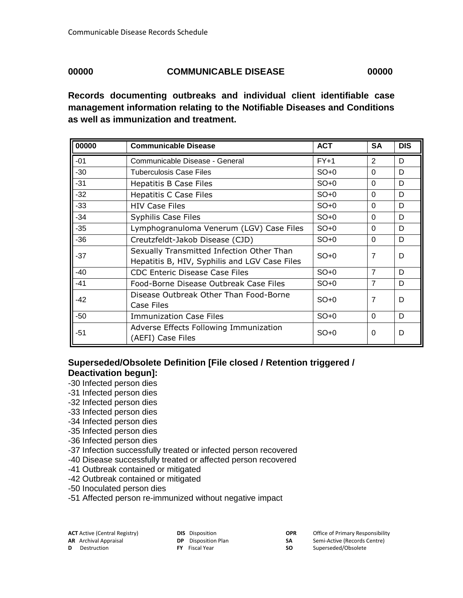#### **00000 COMMUNICABLE DISEASE 00000**

**ACTIVE CONTRAN ACTIVE COPR** Office of Primary Responsibility **SA** Semi-Active (Records Centre) **SO** Superseded/Obsolete

**Records documenting outbreaks and individual client identifiable case management information relating to the Notifiable Diseases and Conditions as well as immunization and treatment.**

| 00000 | <b>Communicable Disease</b>                   | <b>ACT</b> | SA             | <b>DIS</b> |
|-------|-----------------------------------------------|------------|----------------|------------|
| $-01$ | Communicable Disease - General                | $FY+1$     | 2              | D          |
| -30   | <b>Tuberculosis Case Files</b>                | $SO+0$     | $\Omega$       | D          |
| $-31$ | <b>Hepatitis B Case Files</b>                 | $SO+0$     | $\Omega$       | D          |
| $-32$ | <b>Hepatitis C Case Files</b>                 | $SO+0$     | $\Omega$       | D          |
| $-33$ | <b>HIV Case Files</b>                         | $SO+0$     | $\Omega$       | D          |
| -34   | <b>Syphilis Case Files</b>                    | $SO+0$     | $\Omega$       | D          |
| -35   | Lymphogranuloma Venerum (LGV) Case Files      | $SO+0$     | $\Omega$       | D          |
| -36   | Creutzfeldt-Jakob Disease (CJD)               | $SO+0$     | $\Omega$       | D          |
| -37   | Sexually Transmitted Infection Other Than     | $SO+0$     | 7              | D          |
|       | Hepatitis B, HIV, Syphilis and LGV Case Files |            |                |            |
| -40   | <b>CDC Enteric Disease Case Files</b>         | $SO+0$     | $\overline{7}$ | D          |
| -41   | Food-Borne Disease Outbreak Case Files        | $SO+0$     | 7              | D          |
| -42   | Disease Outbreak Other Than Food-Borne        | $SO+0$     | 7              | D          |
|       | Case Files                                    |            |                |            |
| -50   | <b>Immunization Case Files</b>                | $SO+0$     | $\Omega$       | D          |
| $-51$ | Adverse Effects Following Immunization        | $SO+0$     | 0              | D          |
|       | (AEFI) Case Files                             |            |                |            |

### **Superseded/Obsolete Definition [File closed / Retention triggered / Deactivation begun]:**

- -30 Infected person dies
- -31 Infected person dies
- -32 Infected person dies
- -33 Infected person dies
- -34 Infected person dies
- -35 Infected person dies
- -36 Infected person dies
- -37 Infection successfully treated or infected person recovered
- -40 Disease successfully treated or affected person recovered
- -41 Outbreak contained or mitigated
- -42 Outbreak contained or mitigated
- -50 Inoculated person dies
- -51 Affected person re-immunized without negative impact

| <b>ACT</b> Active (Central Registry) | <b>DIS</b> Disposition     |
|--------------------------------------|----------------------------|
| <b>AR</b> Archival Appraisal         | <b>DP</b> Disposition Plan |
| <b>D</b> Destruction                 | <b>FY</b> Fiscal Year      |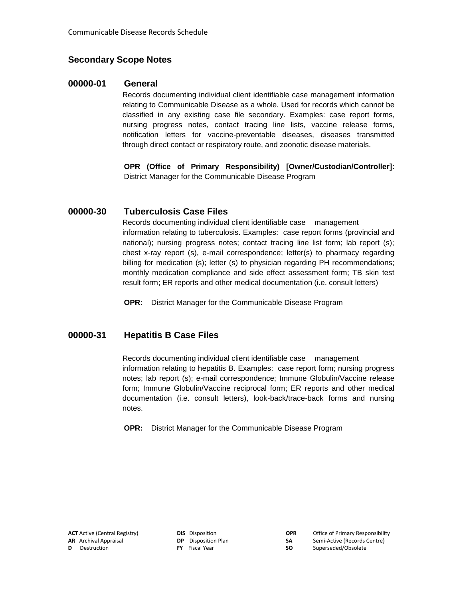#### **Secondary Scope Notes**

#### **00000-01 General**

Records documenting individual client identifiable case management information relating to Communicable Disease as a whole. Used for records which cannot be classified in any existing case file secondary. Examples: case report forms, nursing progress notes, contact tracing line lists, vaccine release forms, notification letters for vaccine-preventable diseases, diseases transmitted through direct contact or respiratory route, and zoonotic disease materials.

**OPR (Office of Primary Responsibility) [Owner/Custodian/Controller]:** District Manager for the Communicable Disease Program

#### **00000-30 Tuberculosis Case Files**

Records documenting individual client identifiable case management information relating to tuberculosis. Examples: case report forms (provincial and national); nursing progress notes; contact tracing line list form; lab report (s); chest x-ray report (s), e-mail correspondence; letter(s) to pharmacy regarding billing for medication (s); letter (s) to physician regarding PH recommendations; monthly medication compliance and side effect assessment form; TB skin test result form; ER reports and other medical documentation (i.e. consult letters)

**OPR:** District Manager for the Communicable Disease Program

#### **00000-31 Hepatitis B Case Files**

Records documenting individual client identifiable case management information relating to hepatitis B. Examples: case report form; nursing progress notes; lab report (s); e-mail correspondence; Immune Globulin/Vaccine release form; Immune Globulin/Vaccine reciprocal form; ER reports and other medical documentation (i.e. consult letters), look-back/trace-back forms and nursing notes.

**OPR:** District Manager for the Communicable Disease Program

| <b>ACT</b> Active (Central Registry) |
|--------------------------------------|
| <b>AR</b> Archival Appraisal         |
| <b>D</b> Destruction                 |

| <b>DIS</b> Disposition     |
|----------------------------|
| <b>DP</b> Disposition Plar |
| <b>FY</b> Fiscal Year      |

**ACTIVE CORTEGE** Of Contrary Responsibility **DP** Disposition Plan **SA** Semi-Active (Records Centre)

**SO** Superseded/Obsolete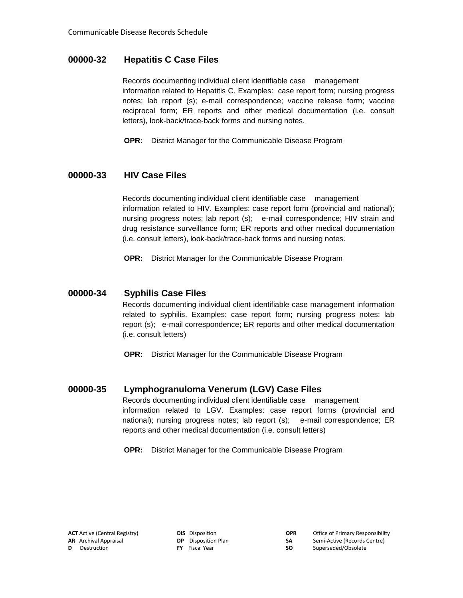#### **00000-32 Hepatitis C Case Files**

Records documenting individual client identifiable case management information related to Hepatitis C. Examples: case report form; nursing progress notes; lab report (s); e-mail correspondence; vaccine release form; vaccine reciprocal form; ER reports and other medical documentation (i.e. consult letters), look-back/trace-back forms and nursing notes.

**OPR:** District Manager for the Communicable Disease Program

#### **00000-33 HIV Case Files**

Records documenting individual client identifiable case management information related to HIV. Examples: case report form (provincial and national); nursing progress notes; lab report (s); e-mail correspondence; HIV strain and drug resistance surveillance form; ER reports and other medical documentation (i.e. consult letters), look-back/trace-back forms and nursing notes.

**OPR:** District Manager for the Communicable Disease Program

#### **00000-34 Syphilis Case Files**

Records documenting individual client identifiable case management information related to syphilis. Examples: case report form; nursing progress notes; lab report (s); e-mail correspondence; ER reports and other medical documentation (i.e. consult letters)

**OPR:** District Manager for the Communicable Disease Program

#### **00000-35 Lymphogranuloma Venerum (LGV) Case Files**

Records documenting individual client identifiable case management information related to LGV. Examples: case report forms (provincial and national); nursing progress notes; lab report (s); e-mail correspondence; ER reports and other medical documentation (i.e. consult letters)

**OPR:** District Manager for the Communicable Disease Program

|   | <b>ACT</b> Active (Central Registry) |
|---|--------------------------------------|
|   | <b>AR</b> Archival Appraisal         |
| D | Destruction                          |

| <b>DIS</b> Disposition     |
|----------------------------|
| <b>DP</b> Disposition Plan |
| F <b>Y</b> Fiscal Year     |

| OΡ |
|----|
| SА |
| cл |

**ACTIVE CORTECTS DIS** Disposition **OPR** Office of Primary Responsibility **DP** Disposition Plan **SA** Semi-Active (Records Centre)

**FY** Fiscal Year **SO** Superseded/Obsolete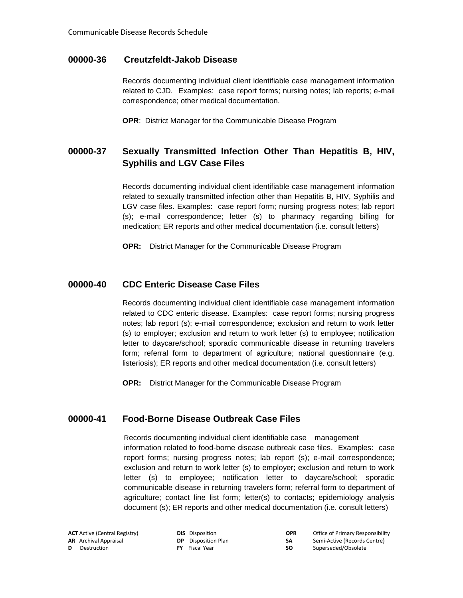#### **00000-36 Creutzfeldt-Jakob Disease**

Records documenting individual client identifiable case management information related to CJD. Examples: case report forms; nursing notes; lab reports; e-mail correspondence; other medical documentation.

**OPR**: District Manager for the Communicable Disease Program

#### **00000-37 Sexually Transmitted Infection Other Than Hepatitis B, HIV, Syphilis and LGV Case Files**

Records documenting individual client identifiable case management information related to sexually transmitted infection other than Hepatitis B, HIV, Syphilis and LGV case files. Examples: case report form; nursing progress notes; lab report (s); e-mail correspondence; letter (s) to pharmacy regarding billing for medication; ER reports and other medical documentation (i.e. consult letters)

**OPR:** District Manager for the Communicable Disease Program

#### **00000-40 CDC Enteric Disease Case Files**

Records documenting individual client identifiable case management information related to CDC enteric disease. Examples: case report forms; nursing progress notes; lab report (s); e-mail correspondence; exclusion and return to work letter (s) to employer; exclusion and return to work letter (s) to employee; notification letter to daycare/school; sporadic communicable disease in returning travelers form; referral form to department of agriculture; national questionnaire (e.g. listeriosis); ER reports and other medical documentation (i.e. consult letters)

**OPR:** District Manager for the Communicable Disease Program

#### **00000-41 Food-Borne Disease Outbreak Case Files**

Records documenting individual client identifiable case management information related to food-borne disease outbreak case files. Examples: case report forms; nursing progress notes; lab report (s); e-mail correspondence; exclusion and return to work letter (s) to employer; exclusion and return to work letter (s) to employee; notification letter to daycare/school; sporadic communicable disease in returning travelers form; referral form to department of agriculture; contact line list form; letter(s) to contacts; epidemiology analysis document (s); ER reports and other medical documentation (i.e. consult letters)

|   | <b>ACT</b> Active (Central Registry) | <b>DIS</b> Disposition     | <b>OPR</b> | Office of Primary Responsibility |
|---|--------------------------------------|----------------------------|------------|----------------------------------|
|   | <b>AR</b> Archival Appraisal         | <b>DP</b> Disposition Plan | SΑ.        | Semi-Active (Records Centre)     |
| D | Destruction                          | <b>FY</b> Fiscal Year      | SO.        | Superseded/Obsolete              |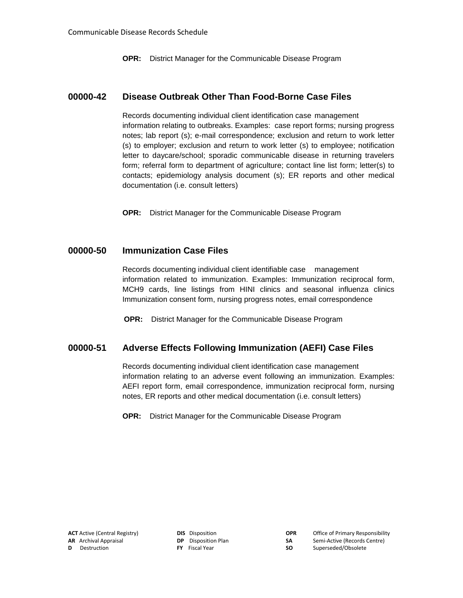**OPR:** District Manager for the Communicable Disease Program

#### **00000-42 Disease Outbreak Other Than Food-Borne Case Files**

Records documenting individual client identification case management information relating to outbreaks. Examples: case report forms; nursing progress notes; lab report (s); e-mail correspondence; exclusion and return to work letter (s) to employer; exclusion and return to work letter (s) to employee; notification letter to daycare/school; sporadic communicable disease in returning travelers form; referral form to department of agriculture; contact line list form; letter(s) to contacts; epidemiology analysis document (s); ER reports and other medical documentation (i.e. consult letters)

**OPR:** District Manager for the Communicable Disease Program

#### **00000-50 Immunization Case Files**

Records documenting individual client identifiable case management information related to immunization. Examples: Immunization reciprocal form, MCH9 cards, line listings from HINI clinics and seasonal influenza clinics Immunization consent form, nursing progress notes, email correspondence

**OPR:** District Manager for the Communicable Disease Program

#### **00000-51 Adverse Effects Following Immunization (AEFI) Case Files**

Records documenting individual client identification case management information relating to an adverse event following an immunization. Examples: AEFI report form, email correspondence, immunization reciprocal form, nursing notes, ER reports and other medical documentation (i.e. consult letters)

**OPR:** District Manager for the Communicable Disease Program

| <b>DIS</b> Disposition     |
|----------------------------|
| <b>DP</b> Disposition Plar |
| <b>FY</b> Fiscal Year      |

**ACT** Active (Central Registry) **DIS** Disposition **OPR** Office of Primary Responsibility **AR** Archival Appraisal **DP** Disposition Plan **SA** Semi-Active (Records Centre)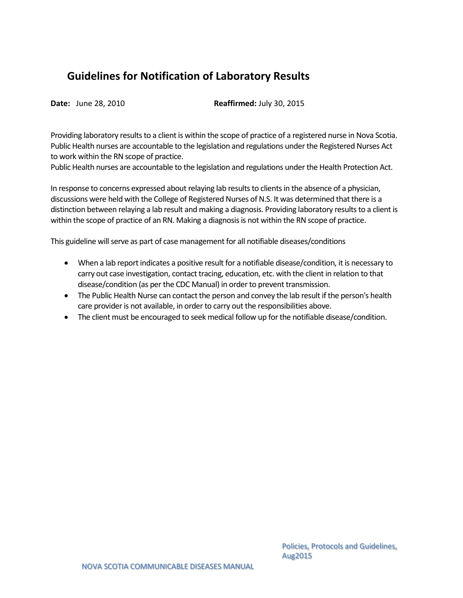### <span id="page-8-0"></span>**Guidelines for Notification of Laboratory Results**

**Date:** June 28, 2010 **Reaffirmed:** July 30, 2015

Providing laboratory results to a client is within the scope of practice of a registered nurse in Nova Scotia. Public Health nurses are accountable to the legislation and regulations under the Registered Nurses Act to work within the RN scope of practice.

Public Health nurses are accountable to the legislation and regulations under the Health Protection Act.

In response to concerns expressed about relaying lab results to clients in the absence of a physician, discussions were held with the College of Registered Nurses of N.S. It was determined that there is a distinction between relaying a lab result and making a diagnosis. Providing laboratory results to a client is within the scope of practice of an RN. Making a diagnosis is not within the RN scope of practice.

This guideline will serve as part of case management for all notifiable diseases/conditions

- When a lab report indicates a positive result for a notifiable disease/condition, it is necessary to carry out case investigation, contact tracing, education, etc. with the client in relation to that disease/condition (as per the CDC Manual) in order to prevent transmission.
- The Public Health Nurse can contact the person and convey the lab result if the person's health care provider is not available, in order to carry out the responsibilities above.
- The client must be encouraged to seek medical follow up for the notifiable disease/condition.